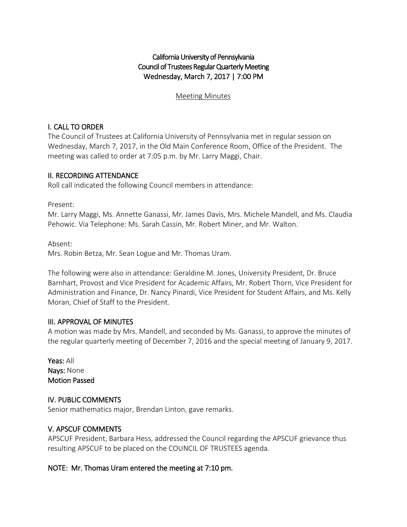# California University of Pennsylvania Council of Trustees Regular Quarterly Meeting Wednesday, March 7, 2017 | 7:00 PM

#### Meeting Minutes

### I. CALL TO ORDER

The Council of Trustees at California University of Pennsylvania met in regular session on Wednesday, March 7, 2017, in the Old Main Conference Room, Office of the President. The meeting was called to order at 7:05 p.m. by Mr. Larry Maggi, Chair.

### II. RECORDING ATTENDANCE

Roll call indicated the following Council members in attendance:

Present:

Mr. Larry Maggi, Ms. Annette Ganassi, Mr. James Davis, Mrs. Michele Mandell, and Ms. Claudia Pehowic. Via Telephone: Ms. Sarah Cassin, Mr. Robert Miner, and Mr. Walton.

Absent:

Mrs. Robin Betza, Mr. Sean Logue and Mr. Thomas Uram.

The following were also in attendance: Geraldine M. Jones, University President, Dr. Bruce Barnhart, Provost and Vice President for Academic Affairs, Mr. Robert Thorn, Vice President for Administration and Finance, Dr. Nancy Pinardi, Vice President for Student Affairs, and Ms. Kelly Moran, Chief of Staff to the President.

#### III. APPROVAL OF MINUTES

A motion was made by Mrs. Mandell, and seconded by Ms. Ganassi, to approve the minutes of the regular quarterly meeting of December 7, 2016 and the special meeting of January 9, 2017.

Yeas: All Nays: None Motion Passed

### IV. PUBLIC COMMENTS

Senior mathematics major, Brendan Linton, gave remarks.

### V. APSCUF COMMENTS

APSCUF President, Barbara Hess, addressed the Council regarding the APSCUF grievance thus resulting APSCUF to be placed on the COUNCIL OF TRUSTEES agenda.

### NOTE: Mr. Thomas Uram entered the meeting at 7:10 pm.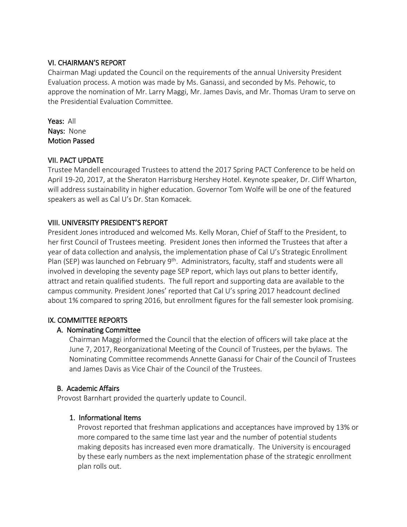### VI. CHAIRMAN'S REPORT

Chairman Magi updated the Council on the requirements of the annual University President Evaluation process. A motion was made by Ms. Ganassi, and seconded by Ms. Pehowic, to approve the nomination of Mr. Larry Maggi, Mr. James Davis, and Mr. Thomas Uram to serve on the Presidential Evaluation Committee.

Yeas: All Nays: None Motion Passed

## VII. PACT UPDATE

Trustee Mandell encouraged Trustees to attend the 2017 Spring PACT Conference to be held on April 19-20, 2017, at the Sheraton Harrisburg Hershey Hotel. Keynote speaker, Dr. Cliff Wharton, will address sustainability in higher education. Governor Tom Wolfe will be one of the featured speakers as well as Cal U's Dr. Stan Komacek.

## VIII. UNIVERSITY PRESIDENT'S REPORT

President Jones introduced and welcomed Ms. Kelly Moran, Chief of Staff to the President, to her first Council of Trustees meeting. President Jones then informed the Trustees that after a year of data collection and analysis, the implementation phase of Cal U's Strategic Enrollment Plan (SEP) was launched on February 9<sup>th</sup>. Administrators, faculty, staff and students were all involved in developing the seventy page SEP report, which lays out plans to better identify, attract and retain qualified students. The full report and supporting data are available to the campus community. President Jones' reported that Cal U's spring 2017 headcount declined about 1% compared to spring 2016, but enrollment figures for the fall semester look promising.

### IX. COMMITTEE REPORTS

# A. Nominating Committee

Chairman Maggi informed the Council that the election of officers will take place at the June 7, 2017, Reorganizational Meeting of the Council of Trustees, per the bylaws. The Nominating Committee recommends Annette Ganassi for Chair of the Council of Trustees and James Davis as Vice Chair of the Council of the Trustees.

### B. Academic Affairs

Provost Barnhart provided the quarterly update to Council.

### 1. Informational Items

Provost reported that freshman applications and acceptances have improved by 13% or more compared to the same time last year and the number of potential students making deposits has increased even more dramatically. The University is encouraged by these early numbers as the next implementation phase of the strategic enrollment plan rolls out.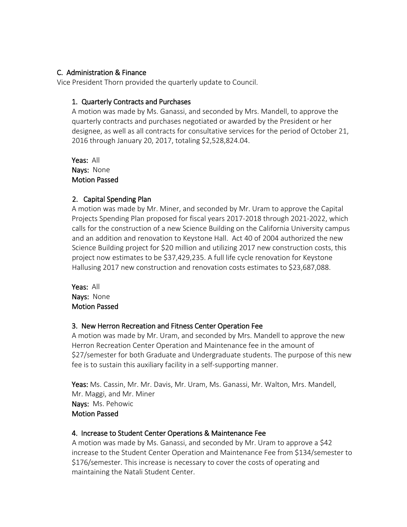### C. Administration & Finance

Vice President Thorn provided the quarterly update to Council.

### 1. Quarterly Contracts and Purchases

A motion was made by Ms. Ganassi, and seconded by Mrs. Mandell, to approve the quarterly contracts and purchases negotiated or awarded by the President or her designee, as well as all contracts for consultative services for the period of October 21, 2016 through January 20, 2017, totaling \$2,528,824.04.

Yeas: All Nays: None Motion Passed

## 2. Capital Spending Plan

A motion was made by Mr. Miner, and seconded by Mr. Uram to approve the Capital Projects Spending Plan proposed for fiscal years 2017-2018 through 2021-2022, which calls for the construction of a new Science Building on the California University campus and an addition and renovation to Keystone Hall. Act 40 of 2004 authorized the new Science Building project for \$20 million and utilizing 2017 new construction costs, this project now estimates to be \$37,429,235. A full life cycle renovation for Keystone Hallusing 2017 new construction and renovation costs estimates to \$23,687,088.

Yeas: All Nays: None Motion Passed

### 3. New Herron Recreation and Fitness Center Operation Fee

A motion was made by Mr. Uram, and seconded by Mrs. Mandell to approve the new Herron Recreation Center Operation and Maintenance fee in the amount of \$27/semester for both Graduate and Undergraduate students. The purpose of this new fee is to sustain this auxiliary facility in a self-supporting manner.

Yeas: Ms. Cassin, Mr. Mr. Davis, Mr. Uram, Ms. Ganassi, Mr. Walton, Mrs. Mandell, Mr. Maggi, and Mr. Miner Nays: Ms. Pehowic Motion Passed

### 4. Increase to Student Center Operations & Maintenance Fee

 A motion was made by Ms. Ganassi, and seconded by Mr. Uram to approve a \$42 increase to the Student Center Operation and Maintenance Fee from \$134/semester to \$176/semester. This increase is necessary to cover the costs of operating and maintaining the Natali Student Center.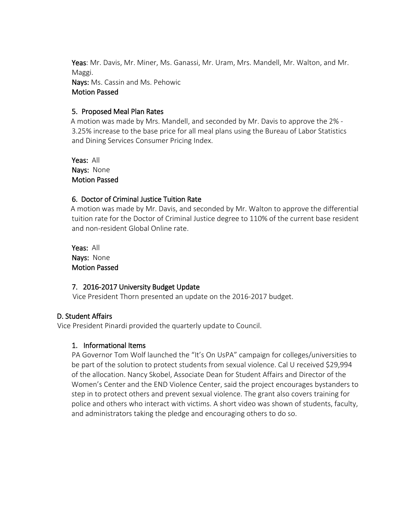Yeas: Mr. Davis, Mr. Miner, Ms. Ganassi, Mr. Uram, Mrs. Mandell, Mr. Walton, and Mr. Maggi.

Nays: Ms. Cassin and Ms. Pehowic Motion Passed

### 5. Proposed Meal Plan Rates

 A motion was made by Mrs. Mandell, and seconded by Mr. Davis to approve the 2% - 3.25% increase to the base price for all meal plans using the Bureau of Labor Statistics and Dining Services Consumer Pricing Index.

 Yeas: All Nays: None Motion Passed

## 6. Doctor of Criminal Justice Tuition Rate

 A motion was made by Mr. Davis, and seconded by Mr. Walton to approve the differential tuition rate for the Doctor of Criminal Justice degree to 110% of the current base resident and non-resident Global Online rate.

 Yeas: All Nays: None Motion Passed

# 7. 2016-2017 University Budget Update

Vice President Thorn presented an update on the 2016-2017 budget.

# D. Student Affairs

Vice President Pinardi provided the quarterly update to Council.

### 1. Informational Items

PA Governor Tom Wolf launched the "It's On UsPA" campaign for colleges/universities to be part of the solution to protect students from sexual violence. Cal U received \$29,994 of the allocation. Nancy Skobel, Associate Dean for Student Affairs and Director of the Women's Center and the END Violence Center, said the project encourages bystanders to step in to protect others and prevent sexual violence. The grant also covers training for police and others who interact with victims. A short video was shown of students, faculty, and administrators taking the pledge and encouraging others to do so.